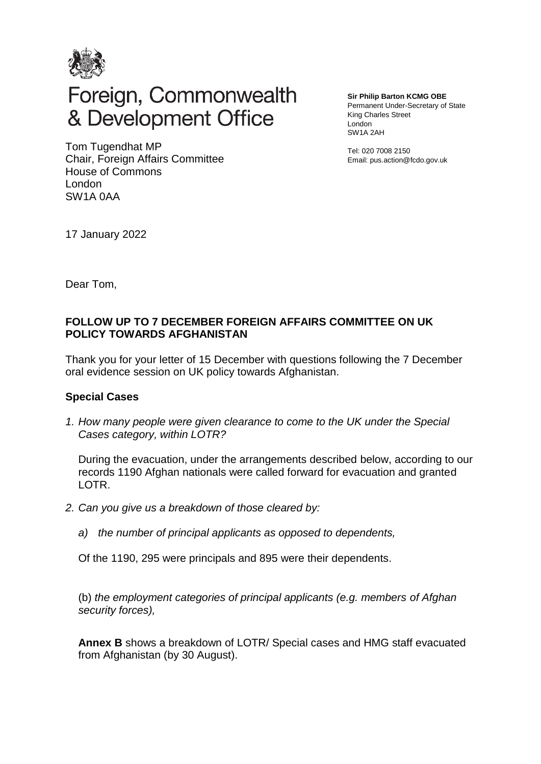

# Foreign, Commonwealth & Development Office

Tom Tugendhat MP Chair, Foreign Affairs Committee House of Commons London SW1A 0AA

**Sir Philip Barton KCMG OBE**

Permanent Under-Secretary of State King Charles Street London SW1A 2AH

Tel: 020 7008 2150 Email: pus.action@fcdo.gov.uk

17 January 2022

Dear Tom,

# **FOLLOW UP TO 7 DECEMBER FOREIGN AFFAIRS COMMITTEE ON UK POLICY TOWARDS AFGHANISTAN**

Thank you for your letter of 15 December with questions following the 7 December oral evidence session on UK policy towards Afghanistan.

# **Special Cases**

*1. How many people were given clearance to come to the UK under the Special Cases category, within LOTR?*

During the evacuation, under the arrangements described below, according to our records 1190 Afghan nationals were called forward for evacuation and granted LOTR.

- *2. Can you give us a breakdown of those cleared by:*
	- *a) the number of principal applicants as opposed to dependents,*

Of the 1190, 295 were principals and 895 were their dependents.

(b) *the employment categories of principal applicants (e.g. members of Afghan security forces),*

**Annex B** shows a breakdown of LOTR/ Special cases and HMG staff evacuated from Afghanistan (by 30 August).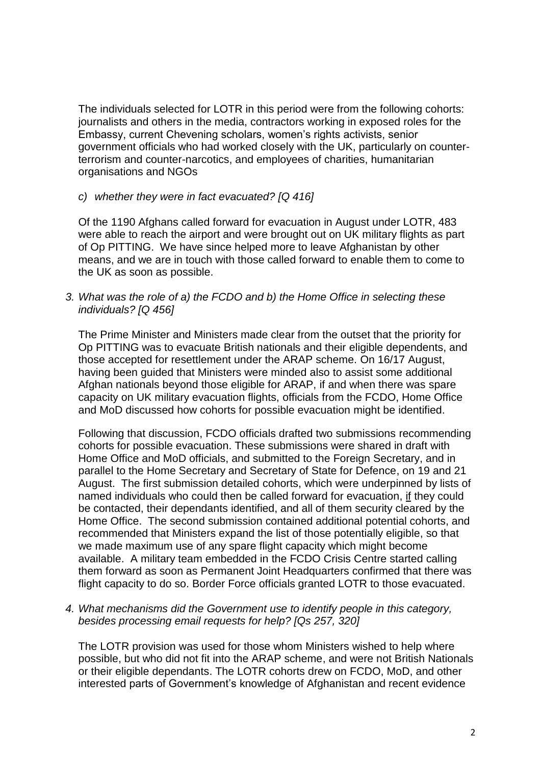The individuals selected for LOTR in this period were from the following cohorts: journalists and others in the media, contractors working in exposed roles for the Embassy, current Chevening scholars, women's rights activists, senior government officials who had worked closely with the UK, particularly on counterterrorism and counter-narcotics, and employees of charities, humanitarian organisations and NGOs

*c) whether they were in fact evacuated? [Q 416]* 

Of the 1190 Afghans called forward for evacuation in August under LOTR, 483 were able to reach the airport and were brought out on UK military flights as part of Op PITTING. We have since helped more to leave Afghanistan by other means, and we are in touch with those called forward to enable them to come to the UK as soon as possible.

*3. What was the role of a) the FCDO and b) the Home Office in selecting these individuals? [Q 456]* 

The Prime Minister and Ministers made clear from the outset that the priority for Op PITTING was to evacuate British nationals and their eligible dependents, and those accepted for resettlement under the ARAP scheme. On 16/17 August, having been guided that Ministers were minded also to assist some additional Afghan nationals beyond those eligible for ARAP, if and when there was spare capacity on UK military evacuation flights, officials from the FCDO, Home Office and MoD discussed how cohorts for possible evacuation might be identified.

Following that discussion, FCDO officials drafted two submissions recommending cohorts for possible evacuation. These submissions were shared in draft with Home Office and MoD officials, and submitted to the Foreign Secretary, and in parallel to the Home Secretary and Secretary of State for Defence, on 19 and 21 August. The first submission detailed cohorts, which were underpinned by lists of named individuals who could then be called forward for evacuation, if they could be contacted, their dependants identified, and all of them security cleared by the Home Office. The second submission contained additional potential cohorts, and recommended that Ministers expand the list of those potentially eligible, so that we made maximum use of any spare flight capacity which might become available. A military team embedded in the FCDO Crisis Centre started calling them forward as soon as Permanent Joint Headquarters confirmed that there was flight capacity to do so. Border Force officials granted LOTR to those evacuated.

*4. What mechanisms did the Government use to identify people in this category, besides processing email requests for help? [Qs 257, 320]* 

The LOTR provision was used for those whom Ministers wished to help where possible, but who did not fit into the ARAP scheme, and were not British Nationals or their eligible dependants. The LOTR cohorts drew on FCDO, MoD, and other interested parts of Government's knowledge of Afghanistan and recent evidence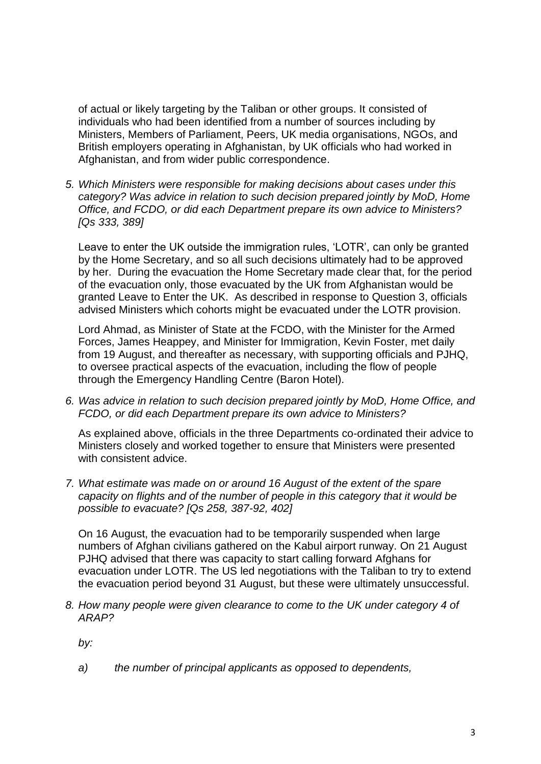of actual or likely targeting by the Taliban or other groups. It consisted of individuals who had been identified from a number of sources including by Ministers, Members of Parliament, Peers, UK media organisations, NGOs, and British employers operating in Afghanistan, by UK officials who had worked in Afghanistan, and from wider public correspondence.

*5. Which Ministers were responsible for making decisions about cases under this category? Was advice in relation to such decision prepared jointly by MoD, Home Office, and FCDO, or did each Department prepare its own advice to Ministers? [Qs 333, 389]* 

Leave to enter the UK outside the immigration rules, 'LOTR', can only be granted by the Home Secretary, and so all such decisions ultimately had to be approved by her. During the evacuation the Home Secretary made clear that, for the period of the evacuation only, those evacuated by the UK from Afghanistan would be granted Leave to Enter the UK. As described in response to Question 3, officials advised Ministers which cohorts might be evacuated under the LOTR provision.

Lord Ahmad, as Minister of State at the FCDO, with the Minister for the Armed Forces, James Heappey, and Minister for Immigration, Kevin Foster, met daily from 19 August, and thereafter as necessary, with supporting officials and PJHQ, to oversee practical aspects of the evacuation, including the flow of people through the Emergency Handling Centre (Baron Hotel).

*6. Was advice in relation to such decision prepared jointly by MoD, Home Office, and FCDO, or did each Department prepare its own advice to Ministers?*

As explained above, officials in the three Departments co-ordinated their advice to Ministers closely and worked together to ensure that Ministers were presented with consistent advice.

*7. What estimate was made on or around 16 August of the extent of the spare capacity on flights and of the number of people in this category that it would be possible to evacuate? [Qs 258, 387-92, 402]*

On 16 August, the evacuation had to be temporarily suspended when large numbers of Afghan civilians gathered on the Kabul airport runway. On 21 August PJHQ advised that there was capacity to start calling forward Afghans for evacuation under LOTR. The US led negotiations with the Taliban to try to extend the evacuation period beyond 31 August, but these were ultimately unsuccessful.

*8. How many people were given clearance to come to the UK under category 4 of ARAP?* 

*by:* 

*a) the number of principal applicants as opposed to dependents,*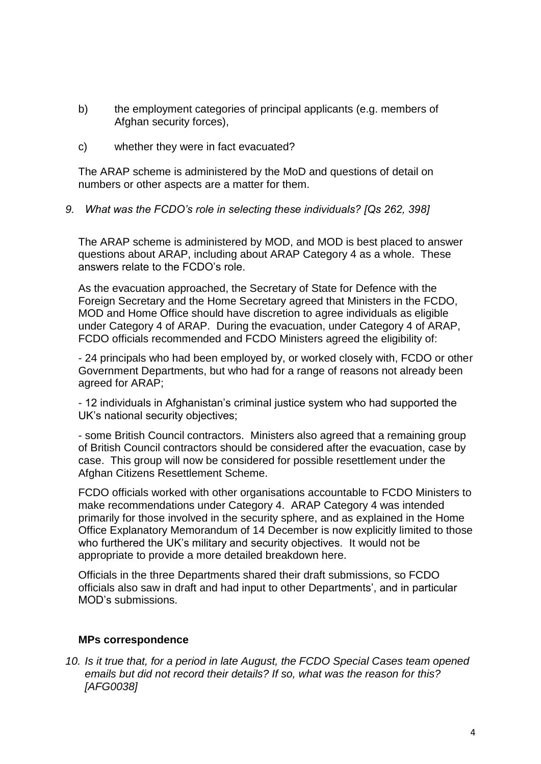- b) the employment categories of principal applicants (e.g. members of Afghan security forces),
- c) whether they were in fact evacuated?

The ARAP scheme is administered by the MoD and questions of detail on numbers or other aspects are a matter for them.

## *9. What was the FCDO's role in selecting these individuals? [Qs 262, 398]*

The ARAP scheme is administered by MOD, and MOD is best placed to answer questions about ARAP, including about ARAP Category 4 as a whole. These answers relate to the FCDO's role.

As the evacuation approached, the Secretary of State for Defence with the Foreign Secretary and the Home Secretary agreed that Ministers in the FCDO, MOD and Home Office should have discretion to agree individuals as eligible under Category 4 of ARAP. During the evacuation, under Category 4 of ARAP, FCDO officials recommended and FCDO Ministers agreed the eligibility of:

- 24 principals who had been employed by, or worked closely with, FCDO or other Government Departments, but who had for a range of reasons not already been agreed for ARAP;

- 12 individuals in Afghanistan's criminal justice system who had supported the UK's national security objectives;

- some British Council contractors. Ministers also agreed that a remaining group of British Council contractors should be considered after the evacuation, case by case. This group will now be considered for possible resettlement under the Afghan Citizens Resettlement Scheme.

FCDO officials worked with other organisations accountable to FCDO Ministers to make recommendations under Category 4. ARAP Category 4 was intended primarily for those involved in the security sphere, and as explained in the Home Office Explanatory Memorandum of 14 December is now explicitly limited to those who furthered the UK's military and security objectives. It would not be appropriate to provide a more detailed breakdown here.

Officials in the three Departments shared their draft submissions, so FCDO officials also saw in draft and had input to other Departments', and in particular MOD's submissions.

# **MPs correspondence**

*10. Is it true that, for a period in late August, the FCDO Special Cases team opened emails but did not record their details? If so, what was the reason for this? [AFG0038]*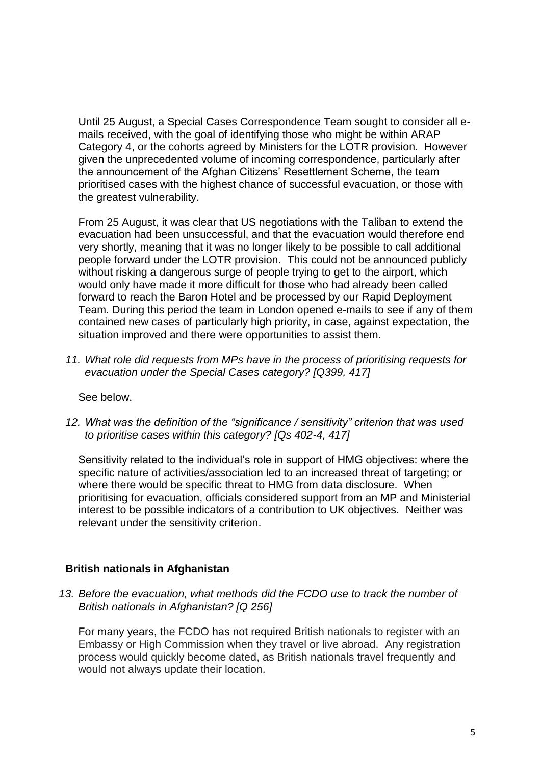Until 25 August, a Special Cases Correspondence Team sought to consider all emails received, with the goal of identifying those who might be within ARAP Category 4, or the cohorts agreed by Ministers for the LOTR provision. However given the unprecedented volume of incoming correspondence, particularly after the announcement of the Afghan Citizens' Resettlement Scheme, the team prioritised cases with the highest chance of successful evacuation, or those with the greatest vulnerability.

From 25 August, it was clear that US negotiations with the Taliban to extend the evacuation had been unsuccessful, and that the evacuation would therefore end very shortly, meaning that it was no longer likely to be possible to call additional people forward under the LOTR provision. This could not be announced publicly without risking a dangerous surge of people trying to get to the airport, which would only have made it more difficult for those who had already been called forward to reach the Baron Hotel and be processed by our Rapid Deployment Team. During this period the team in London opened e-mails to see if any of them contained new cases of particularly high priority, in case, against expectation, the situation improved and there were opportunities to assist them.

*11. What role did requests from MPs have in the process of prioritising requests for evacuation under the Special Cases category? [Q399, 417]* 

See below.

*12. What was the definition of the "significance / sensitivity" criterion that was used to prioritise cases within this category? [Qs 402-4, 417]* 

Sensitivity related to the individual's role in support of HMG objectives: where the specific nature of activities/association led to an increased threat of targeting; or where there would be specific threat to HMG from data disclosure. When prioritising for evacuation, officials considered support from an MP and Ministerial interest to be possible indicators of a contribution to UK objectives. Neither was relevant under the sensitivity criterion.

# **British nationals in Afghanistan**

*13. Before the evacuation, what methods did the FCDO use to track the number of British nationals in Afghanistan? [Q 256]* 

For many years, the FCDO has not required British nationals to register with an Embassy or High Commission when they travel or live abroad. Any registration process would quickly become dated, as British nationals travel frequently and would not always update their location.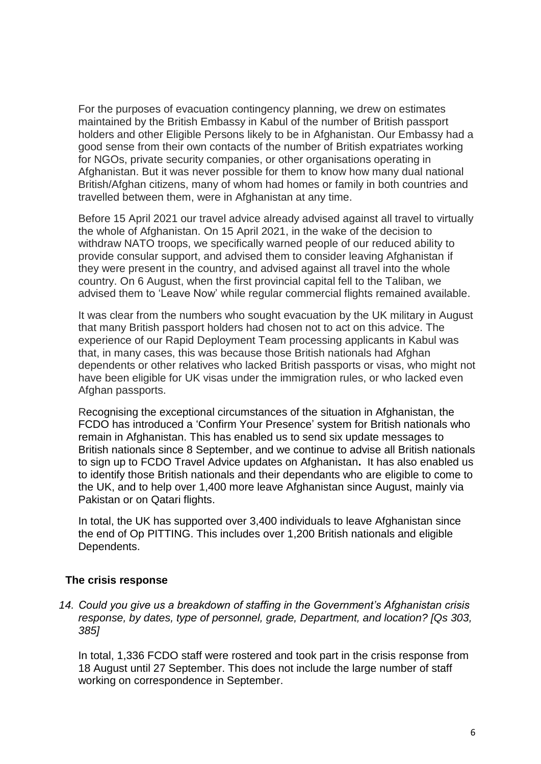For the purposes of evacuation contingency planning, we drew on estimates maintained by the British Embassy in Kabul of the number of British passport holders and other Eligible Persons likely to be in Afghanistan. Our Embassy had a good sense from their own contacts of the number of British expatriates working for NGOs, private security companies, or other organisations operating in Afghanistan. But it was never possible for them to know how many dual national British/Afghan citizens, many of whom had homes or family in both countries and travelled between them, were in Afghanistan at any time.

Before 15 April 2021 our travel advice already advised against all travel to virtually the whole of Afghanistan. On 15 April 2021, in the wake of the decision to withdraw NATO troops, we specifically warned people of our reduced ability to provide consular support, and advised them to consider leaving Afghanistan if they were present in the country, and advised against all travel into the whole country. On 6 August, when the first provincial capital fell to the Taliban, we advised them to 'Leave Now' while regular commercial flights remained available.

It was clear from the numbers who sought evacuation by the UK military in August that many British passport holders had chosen not to act on this advice. The experience of our Rapid Deployment Team processing applicants in Kabul was that, in many cases, this was because those British nationals had Afghan dependents or other relatives who lacked British passports or visas, who might not have been eligible for UK visas under the immigration rules, or who lacked even Afghan passports.

Recognising the exceptional circumstances of the situation in Afghanistan, the FCDO has introduced a 'Confirm Your Presence' system for British nationals who remain in Afghanistan. This has enabled us to send six update messages to British nationals since 8 September, and we continue to advise all British nationals to sign up to FCDO Travel Advice updates on Afghanistan**.** It has also enabled us to identify those British nationals and their dependants who are eligible to come to the UK, and to help over 1,400 more leave Afghanistan since August, mainly via Pakistan or on Qatari flights.

In total, the UK has supported over 3,400 individuals to leave Afghanistan since the end of Op PITTING. This includes over 1,200 British nationals and eligible Dependents.

# **The crisis response**

*14. Could you give us a breakdown of staffing in the Government's Afghanistan crisis response, by dates, type of personnel, grade, Department, and location? [Qs 303, 385]* 

In total, 1,336 FCDO staff were rostered and took part in the crisis response from 18 August until 27 September. This does not include the large number of staff working on correspondence in September.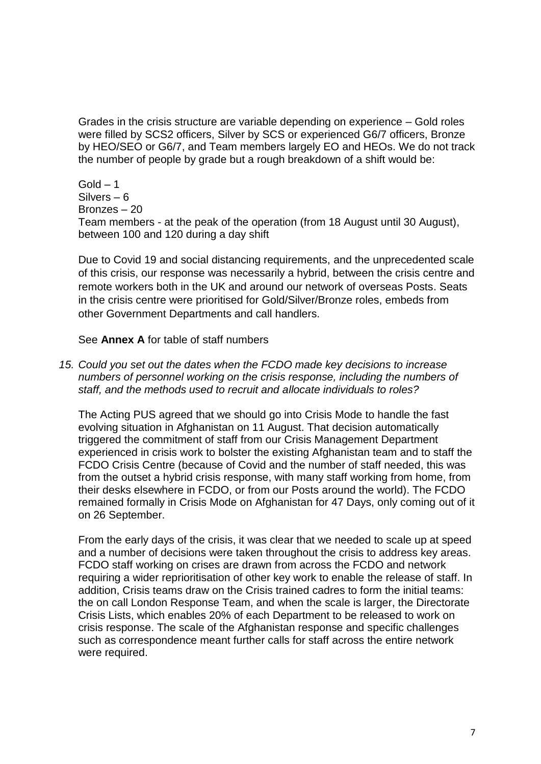Grades in the crisis structure are variable depending on experience – Gold roles were filled by SCS2 officers, Silver by SCS or experienced G6/7 officers, Bronze by HEO/SEO or G6/7, and Team members largely EO and HEOs. We do not track the number of people by grade but a rough breakdown of a shift would be:

 $Gold - 1$ Silvers – 6 Bronzes – 20 Team members - at the peak of the operation (from 18 August until 30 August), between 100 and 120 during a day shift

Due to Covid 19 and social distancing requirements, and the unprecedented scale of this crisis, our response was necessarily a hybrid, between the crisis centre and remote workers both in the UK and around our network of overseas Posts. Seats in the crisis centre were prioritised for Gold/Silver/Bronze roles, embeds from other Government Departments and call handlers.

See **Annex A** for table of staff numbers

*15. Could you set out the dates when the FCDO made key decisions to increase numbers of personnel working on the crisis response, including the numbers of staff, and the methods used to recruit and allocate individuals to roles?* 

The Acting PUS agreed that we should go into Crisis Mode to handle the fast evolving situation in Afghanistan on 11 August. That decision automatically triggered the commitment of staff from our Crisis Management Department experienced in crisis work to bolster the existing Afghanistan team and to staff the FCDO Crisis Centre (because of Covid and the number of staff needed, this was from the outset a hybrid crisis response, with many staff working from home, from their desks elsewhere in FCDO, or from our Posts around the world). The FCDO remained formally in Crisis Mode on Afghanistan for 47 Days, only coming out of it on 26 September.

From the early days of the crisis, it was clear that we needed to scale up at speed and a number of decisions were taken throughout the crisis to address key areas. FCDO staff working on crises are drawn from across the FCDO and network requiring a wider reprioritisation of other key work to enable the release of staff. In addition, Crisis teams draw on the Crisis trained cadres to form the initial teams: the on call London Response Team, and when the scale is larger, the Directorate Crisis Lists, which enables 20% of each Department to be released to work on crisis response. The scale of the Afghanistan response and specific challenges such as correspondence meant further calls for staff across the entire network were required.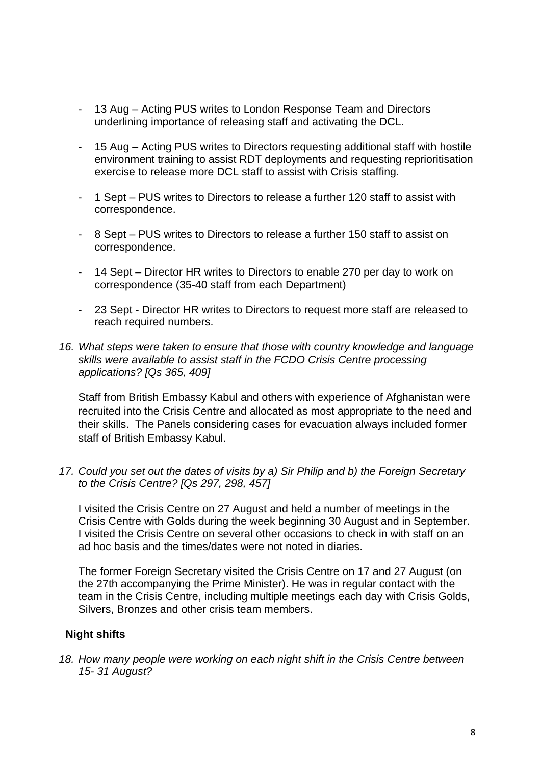- 13 Aug Acting PUS writes to London Response Team and Directors underlining importance of releasing staff and activating the DCL.
- 15 Aug Acting PUS writes to Directors requesting additional staff with hostile environment training to assist RDT deployments and requesting reprioritisation exercise to release more DCL staff to assist with Crisis staffing.
- 1 Sept PUS writes to Directors to release a further 120 staff to assist with correspondence.
- 8 Sept PUS writes to Directors to release a further 150 staff to assist on correspondence.
- 14 Sept Director HR writes to Directors to enable 270 per day to work on correspondence (35-40 staff from each Department)
- 23 Sept Director HR writes to Directors to request more staff are released to reach required numbers.
- *16. What steps were taken to ensure that those with country knowledge and language skills were available to assist staff in the FCDO Crisis Centre processing applications? [Qs 365, 409]*

Staff from British Embassy Kabul and others with experience of Afghanistan were recruited into the Crisis Centre and allocated as most appropriate to the need and their skills. The Panels considering cases for evacuation always included former staff of British Embassy Kabul.

*17. Could you set out the dates of visits by a) Sir Philip and b) the Foreign Secretary to the Crisis Centre? [Qs 297, 298, 457]* 

I visited the Crisis Centre on 27 August and held a number of meetings in the Crisis Centre with Golds during the week beginning 30 August and in September. I visited the Crisis Centre on several other occasions to check in with staff on an ad hoc basis and the times/dates were not noted in diaries.

The former Foreign Secretary visited the Crisis Centre on 17 and 27 August (on the 27th accompanying the Prime Minister). He was in regular contact with the team in the Crisis Centre, including multiple meetings each day with Crisis Golds, Silvers, Bronzes and other crisis team members.

# **Night shifts**

*18. How many people were working on each night shift in the Crisis Centre between 15- 31 August?*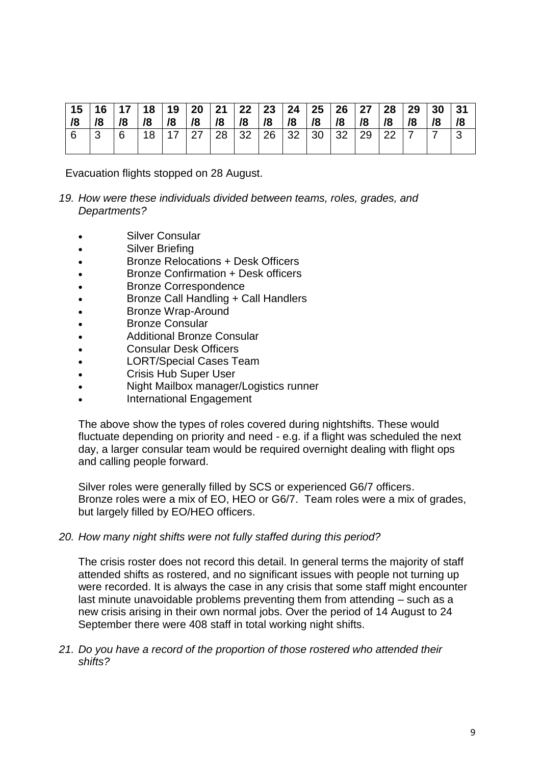| /8 | /8 | /8 | 15   16   17   18   19   20   21   22   23   24   25   26   27   28   29<br>/8 | /8 | /8 | /8 | /8 | $\sqrt{8}$ | /8 | /8 | /8 | /8                                                   | /8 | /8 | 30 <sub>1</sub><br>/8 | $\overline{31}$ |
|----|----|----|--------------------------------------------------------------------------------|----|----|----|----|------------|----|----|----|------------------------------------------------------|----|----|-----------------------|-----------------|
| 6  | -3 | 6  |                                                                                |    |    |    |    |            |    |    |    | 18   17   27   28   32   26   32   30   32   29   22 |    |    |                       |                 |

Evacuation flights stopped on 28 August.

- *19. How were these individuals divided between teams, roles, grades, and Departments?* 
	- Silver Consular
	- Silver Briefing
	- Bronze Relocations + Desk Officers
	- Bronze Confirmation + Desk officers
	- Bronze Correspondence
	- Bronze Call Handling + Call Handlers
	- Bronze Wrap-Around
	- Bronze Consular
	- Additional Bronze Consular
	- Consular Desk Officers
	- LORT/Special Cases Team
	- Crisis Hub Super User
	- Night Mailbox manager/Logistics runner
	- International Engagement

The above show the types of roles covered during nightshifts. These would fluctuate depending on priority and need - e.g. if a flight was scheduled the next day, a larger consular team would be required overnight dealing with flight ops and calling people forward.

Silver roles were generally filled by SCS or experienced G6/7 officers. Bronze roles were a mix of EO, HEO or G6/7. Team roles were a mix of grades, but largely filled by EO/HEO officers.

# *20. How many night shifts were not fully staffed during this period?*

The crisis roster does not record this detail. In general terms the majority of staff attended shifts as rostered, and no significant issues with people not turning up were recorded. It is always the case in any crisis that some staff might encounter last minute unavoidable problems preventing them from attending – such as a new crisis arising in their own normal jobs. Over the period of 14 August to 24 September there were 408 staff in total working night shifts.

## *21. Do you have a record of the proportion of those rostered who attended their shifts?*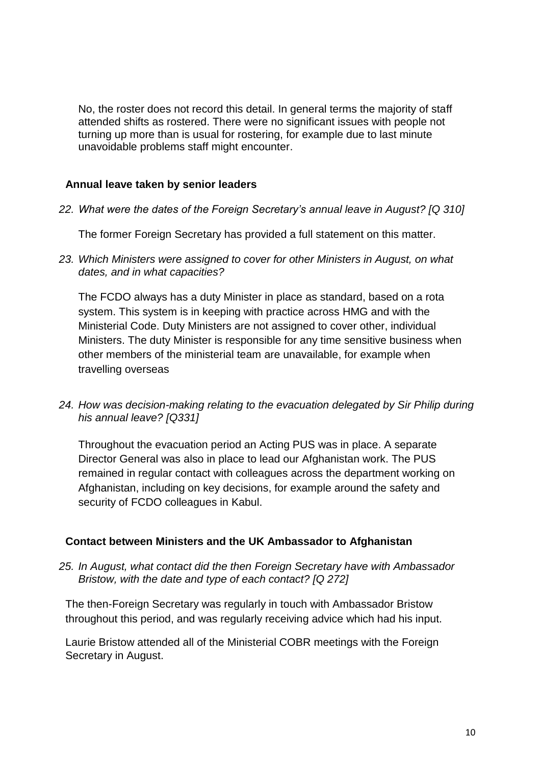No, the roster does not record this detail. In general terms the majority of staff attended shifts as rostered. There were no significant issues with people not turning up more than is usual for rostering, for example due to last minute unavoidable problems staff might encounter.

# **Annual leave taken by senior leaders**

*22. What were the dates of the Foreign Secretary's annual leave in August? [Q 310]* 

The former Foreign Secretary has provided a full statement on this matter.

*23. Which Ministers were assigned to cover for other Ministers in August, on what dates, and in what capacities?* 

The FCDO always has a duty Minister in place as standard, based on a rota system. This system is in keeping with practice across HMG and with the Ministerial Code. Duty Ministers are not assigned to cover other, individual Ministers. The duty Minister is responsible for any time sensitive business when other members of the ministerial team are unavailable, for example when travelling overseas

*24. How was decision-making relating to the evacuation delegated by Sir Philip during his annual leave? [Q331]*

Throughout the evacuation period an Acting PUS was in place. A separate Director General was also in place to lead our Afghanistan work. The PUS remained in regular contact with colleagues across the department working on Afghanistan, including on key decisions, for example around the safety and security of FCDO colleagues in Kabul.

# **Contact between Ministers and the UK Ambassador to Afghanistan**

*25. In August, what contact did the then Foreign Secretary have with Ambassador Bristow, with the date and type of each contact? [Q 272]* 

The then-Foreign Secretary was regularly in touch with Ambassador Bristow throughout this period, and was regularly receiving advice which had his input.

Laurie Bristow attended all of the Ministerial COBR meetings with the Foreign Secretary in August.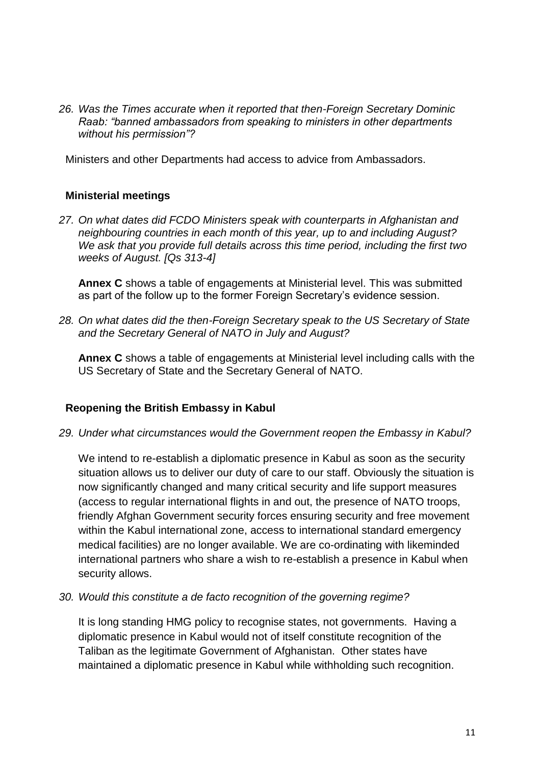*26. Was the Times accurate when it reported that then-Foreign Secretary Dominic Raab: "banned ambassadors from speaking to ministers in other departments without his permission"?* 

Ministers and other Departments had access to advice from Ambassadors.

# **Ministerial meetings**

*27. On what dates did FCDO Ministers speak with counterparts in Afghanistan and neighbouring countries in each month of this year, up to and including August? We ask that you provide full details across this time period, including the first two weeks of August. [Qs 313-4]* 

**Annex C** shows a table of engagements at Ministerial level. This was submitted as part of the follow up to the former Foreign Secretary's evidence session.

*28. On what dates did the then-Foreign Secretary speak to the US Secretary of State and the Secretary General of NATO in July and August?* 

**Annex C** shows a table of engagements at Ministerial level including calls with the US Secretary of State and the Secretary General of NATO.

# **Reopening the British Embassy in Kabul**

*29. Under what circumstances would the Government reopen the Embassy in Kabul?* 

We intend to re-establish a diplomatic presence in Kabul as soon as the security situation allows us to deliver our duty of care to our staff. Obviously the situation is now significantly changed and many critical security and life support measures (access to regular international flights in and out, the presence of NATO troops, friendly Afghan Government security forces ensuring security and free movement within the Kabul international zone, access to international standard emergency medical facilities) are no longer available. We are co-ordinating with likeminded international partners who share a wish to re-establish a presence in Kabul when security allows.

*30. Would this constitute a de facto recognition of the governing regime?* 

It is long standing HMG policy to recognise states, not governments. Having a diplomatic presence in Kabul would not of itself constitute recognition of the Taliban as the legitimate Government of Afghanistan. Other states have maintained a diplomatic presence in Kabul while withholding such recognition.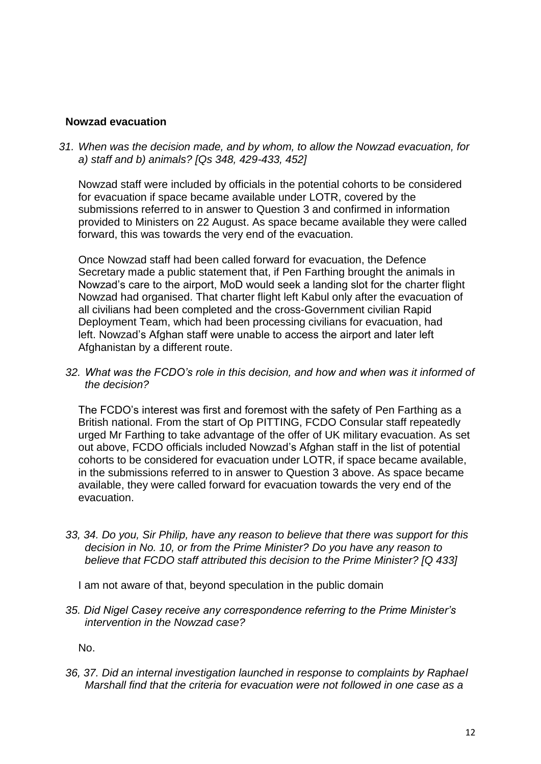## **Nowzad evacuation**

*31. When was the decision made, and by whom, to allow the Nowzad evacuation, for a) staff and b) animals? [Qs 348, 429-433, 452]* 

Nowzad staff were included by officials in the potential cohorts to be considered for evacuation if space became available under LOTR, covered by the submissions referred to in answer to Question 3 and confirmed in information provided to Ministers on 22 August. As space became available they were called forward, this was towards the very end of the evacuation.

Once Nowzad staff had been called forward for evacuation, the Defence Secretary made a public statement that, if Pen Farthing brought the animals in Nowzad's care to the airport, MoD would seek a landing slot for the charter flight Nowzad had organised. That charter flight left Kabul only after the evacuation of all civilians had been completed and the cross-Government civilian Rapid Deployment Team, which had been processing civilians for evacuation, had left. Nowzad's Afghan staff were unable to access the airport and later left Afghanistan by a different route.

*32. What was the FCDO's role in this decision, and how and when was it informed of the decision?* 

The FCDO's interest was first and foremost with the safety of Pen Farthing as a British national. From the start of Op PITTING, FCDO Consular staff repeatedly urged Mr Farthing to take advantage of the offer of UK military evacuation. As set out above, FCDO officials included Nowzad's Afghan staff in the list of potential cohorts to be considered for evacuation under LOTR, if space became available, in the submissions referred to in answer to Question 3 above. As space became available, they were called forward for evacuation towards the very end of the evacuation.

*33, 34. Do you, Sir Philip, have any reason to believe that there was support for this decision in No. 10, or from the Prime Minister? Do you have any reason to believe that FCDO staff attributed this decision to the Prime Minister? [Q 433]* 

I am not aware of that, beyond speculation in the public domain

*35. Did Nigel Casey receive any correspondence referring to the Prime Minister's intervention in the Nowzad case?*

No.

*36, 37. Did an internal investigation launched in response to complaints by Raphael Marshall find that the criteria for evacuation were not followed in one case as a*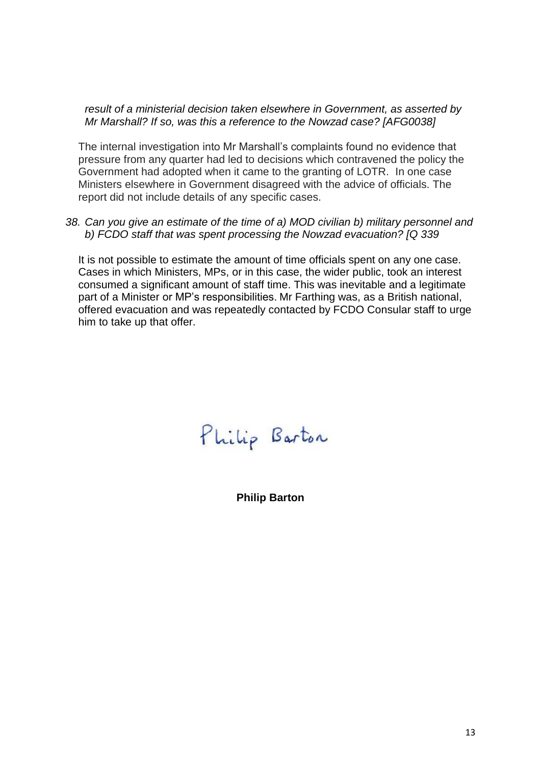*result of a ministerial decision taken elsewhere in Government, as asserted by Mr Marshall? If so, was this a reference to the Nowzad case? [AFG0038]* 

The internal investigation into Mr Marshall's complaints found no evidence that pressure from any quarter had led to decisions which contravened the policy the Government had adopted when it came to the granting of LOTR. In one case Ministers elsewhere in Government disagreed with the advice of officials. The report did not include details of any specific cases.

*38. Can you give an estimate of the time of a) MOD civilian b) military personnel and b) FCDO staff that was spent processing the Nowzad evacuation? [Q 339*

It is not possible to estimate the amount of time officials spent on any one case. Cases in which Ministers, MPs, or in this case, the wider public, took an interest consumed a significant amount of staff time. This was inevitable and a legitimate part of a Minister or MP's responsibilities. Mr Farthing was, as a British national, offered evacuation and was repeatedly contacted by FCDO Consular staff to urge him to take up that offer.

Philip Barton

**Philip Barton**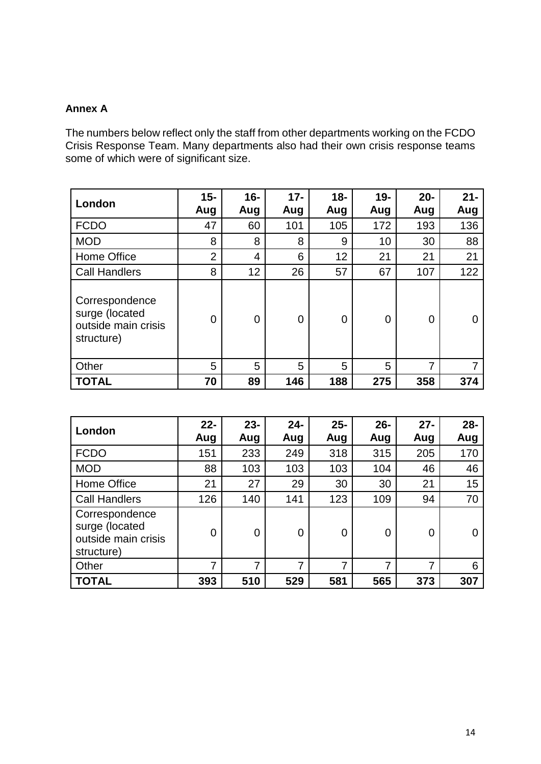# **Annex A**

The numbers below reflect only the staff from other departments working on the FCDO Crisis Response Team. Many departments also had their own crisis response teams some of which were of significant size.

| London                                                                | $15 -$<br>Aug  | $16 -$<br>Aug   | $17 -$<br>Aug | $18 -$<br>Aug | $19 -$<br>Aug | $20 -$<br>Aug | $21 -$<br>Aug |
|-----------------------------------------------------------------------|----------------|-----------------|---------------|---------------|---------------|---------------|---------------|
| <b>FCDO</b>                                                           | 47             | 60              | 101           | 105           | 172           | 193           | 136           |
| <b>MOD</b>                                                            | 8              | 8               | 8             | 9             | 10            | 30            | 88            |
| Home Office                                                           | $\overline{2}$ | 4               | 6             | 12            | 21            | 21            | 21            |
| <b>Call Handlers</b>                                                  | 8              | 12 <sup>2</sup> | 26            | 57            | 67            | 107           | 122           |
| Correspondence<br>surge (located<br>outside main crisis<br>structure) | 0              | 0               | 0             | 0             | 0             | 0             | 0             |
| Other                                                                 | 5              | 5               | 5             | 5             | 5             | 7             |               |
| <b>TOTAL</b>                                                          | 70             | 89              | 146           | 188           | 275           | 358           | 374           |

| London                                                                | $22 -$<br>Aug | $23 -$<br>Aug | $24 -$<br>Aug | $25 -$<br>Aug | $26 -$<br>Aug | $27 -$<br>Aug | $28 -$<br>Aug |
|-----------------------------------------------------------------------|---------------|---------------|---------------|---------------|---------------|---------------|---------------|
| <b>FCDO</b>                                                           | 151           | 233           | 249           | 318           | 315           | 205           | 170           |
| <b>MOD</b>                                                            | 88            | 103           | 103           | 103           | 104           | 46            | 46            |
| Home Office                                                           | 21            | 27            | 29            | 30            | 30            | 21            | 15            |
| <b>Call Handlers</b>                                                  | 126           | 140           | 141           | 123           | 109           | 94            | 70            |
| Correspondence<br>surge (located<br>outside main crisis<br>structure) | 0             | 0             | 0             | 0             | 0             | 0             |               |
| Other                                                                 | 7             | 7             | 7             | 7             | 7             | 7             | 6             |
| <b>TOTAL</b>                                                          | 393           | 510           | 529           | 581           | 565           | 373           | 307           |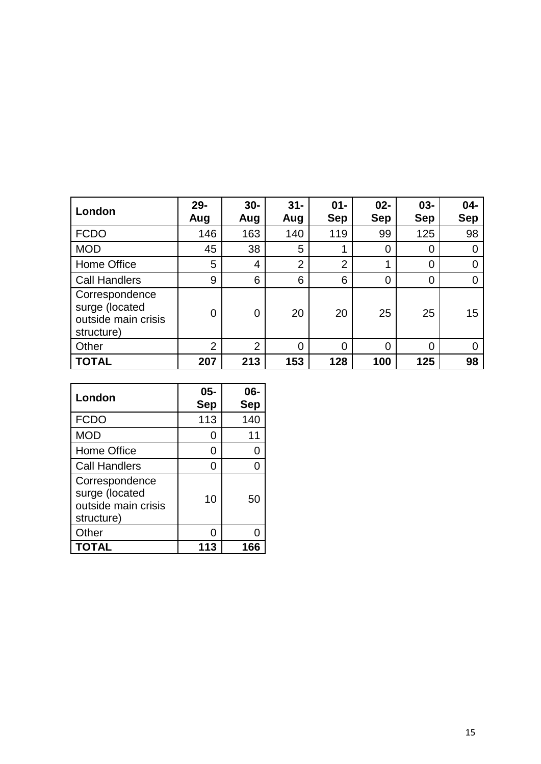| London                                                                | $29 -$<br>Aug  | $30-$<br>Aug   | $31 -$<br>Aug  | $01 -$<br><b>Sep</b> | $02 -$<br><b>Sep</b> | $03 -$<br><b>Sep</b> | $04 -$<br><b>Sep</b> |
|-----------------------------------------------------------------------|----------------|----------------|----------------|----------------------|----------------------|----------------------|----------------------|
| <b>FCDO</b>                                                           | 146            | 163            | 140            | 119                  | 99                   | 125                  | 98                   |
| <b>MOD</b>                                                            | 45             | 38             | 5              |                      | 0                    | 0                    |                      |
| Home Office                                                           | 5              | 4              | $\overline{2}$ | $\overline{2}$       | 4                    | 0                    | 0                    |
| <b>Call Handlers</b>                                                  | 9              | 6              | 6              | 6                    | 0                    | 0                    | 0                    |
| Correspondence<br>surge (located<br>outside main crisis<br>structure) | 0              | $\overline{0}$ | 20             | 20                   | 25                   | 25                   | 15                   |
| Other                                                                 | $\overline{2}$ | $\overline{2}$ | $\overline{0}$ | $\overline{0}$       | 0                    | $\Omega$             | 0                    |
| <b>TOTAL</b>                                                          | 207            | 213            | 153            | 128                  | 100                  | 125                  | 98                   |

| London                                                                | $05 -$<br><b>Sep</b> | 06-<br>Sep |
|-----------------------------------------------------------------------|----------------------|------------|
| <b>FCDO</b>                                                           | 113                  | 140        |
| <b>MOD</b>                                                            | 0                    | 11         |
| <b>Home Office</b>                                                    | 0                    |            |
| <b>Call Handlers</b>                                                  | n                    |            |
| Correspondence<br>surge (located<br>outside main crisis<br>structure) | 10                   | 50         |
| Other                                                                 |                      |            |
| <b>TOTAL</b>                                                          | 113                  |            |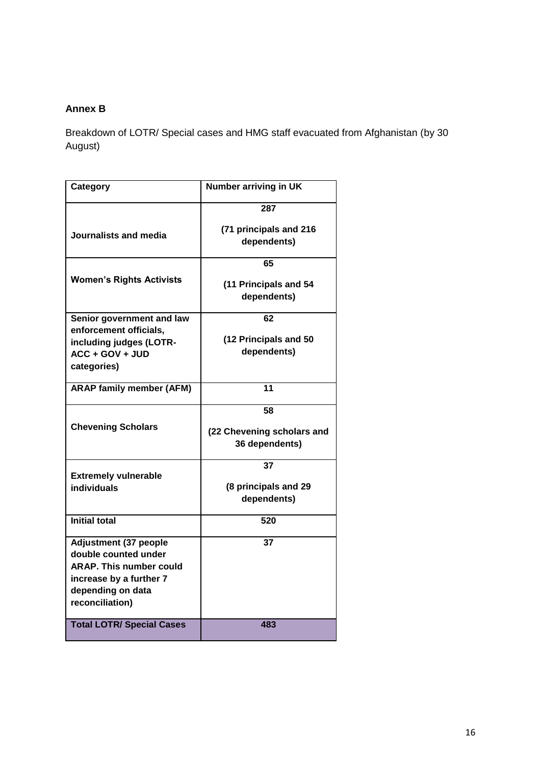# **Annex B**

Breakdown of LOTR/ Special cases and HMG staff evacuated from Afghanistan (by 30 August)

| Category                                                                                                                                                  | <b>Number arriving in UK</b>                 |
|-----------------------------------------------------------------------------------------------------------------------------------------------------------|----------------------------------------------|
|                                                                                                                                                           | 287                                          |
| Journalists and media                                                                                                                                     | (71 principals and 216<br>dependents)        |
|                                                                                                                                                           | 65                                           |
| <b>Women's Rights Activists</b>                                                                                                                           | (11 Principals and 54<br>dependents)         |
| Senior government and law                                                                                                                                 | 62                                           |
| enforcement officials,<br>including judges (LOTR-<br>ACC + GOV + JUD<br>categories)                                                                       | (12 Principals and 50<br>dependents)         |
| <b>ARAP family member (AFM)</b>                                                                                                                           | 11                                           |
|                                                                                                                                                           | 58                                           |
| <b>Chevening Scholars</b>                                                                                                                                 | (22 Chevening scholars and<br>36 dependents) |
|                                                                                                                                                           | 37                                           |
| <b>Extremely vulnerable</b><br>individuals                                                                                                                | (8 principals and 29<br>dependents)          |
| <b>Initial total</b>                                                                                                                                      | 520                                          |
| <b>Adjustment (37 people</b><br>double counted under<br><b>ARAP. This number could</b><br>increase by a further 7<br>depending on data<br>reconciliation) | 37                                           |
| <b>Total LOTR/ Special Cases</b>                                                                                                                          | 483                                          |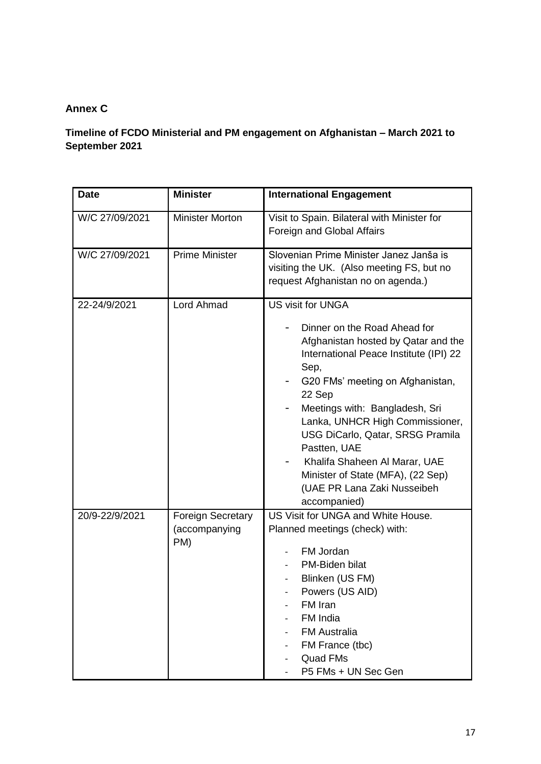# **Annex C**

# **Timeline of FCDO Ministerial and PM engagement on Afghanistan – March 2021 to September 2021**

| <b>Date</b>    | <b>Minister</b>                                  | <b>International Engagement</b>                                                                                                                                                                                                                                                                                                                                                                                                               |
|----------------|--------------------------------------------------|-----------------------------------------------------------------------------------------------------------------------------------------------------------------------------------------------------------------------------------------------------------------------------------------------------------------------------------------------------------------------------------------------------------------------------------------------|
| W/C 27/09/2021 | <b>Minister Morton</b>                           | Visit to Spain. Bilateral with Minister for<br>Foreign and Global Affairs                                                                                                                                                                                                                                                                                                                                                                     |
| W/C 27/09/2021 | <b>Prime Minister</b>                            | Slovenian Prime Minister Janez Janša is<br>visiting the UK. (Also meeting FS, but no<br>request Afghanistan no on agenda.)                                                                                                                                                                                                                                                                                                                    |
| 22-24/9/2021   | Lord Ahmad                                       | <b>US visit for UNGA</b><br>Dinner on the Road Ahead for<br>Afghanistan hosted by Qatar and the<br>International Peace Institute (IPI) 22<br>Sep,<br>G20 FMs' meeting on Afghanistan,<br>22 Sep<br>Meetings with: Bangladesh, Sri<br>Lanka, UNHCR High Commissioner,<br>USG DiCarlo, Qatar, SRSG Pramila<br>Pastten, UAE<br>Khalifa Shaheen Al Marar, UAE<br>Minister of State (MFA), (22 Sep)<br>(UAE PR Lana Zaki Nusseibeh<br>accompanied) |
| 20/9-22/9/2021 | <b>Foreign Secretary</b><br>(accompanying<br>PM) | US Visit for UNGA and White House.<br>Planned meetings (check) with:<br>FM Jordan<br>PM-Biden bilat<br>Blinken (US FM)<br>Powers (US AID)<br>FM Iran<br>FM India<br><b>FM Australia</b><br>FM France (tbc)<br><b>Quad FMs</b><br>P5 FMs + UN Sec Gen                                                                                                                                                                                          |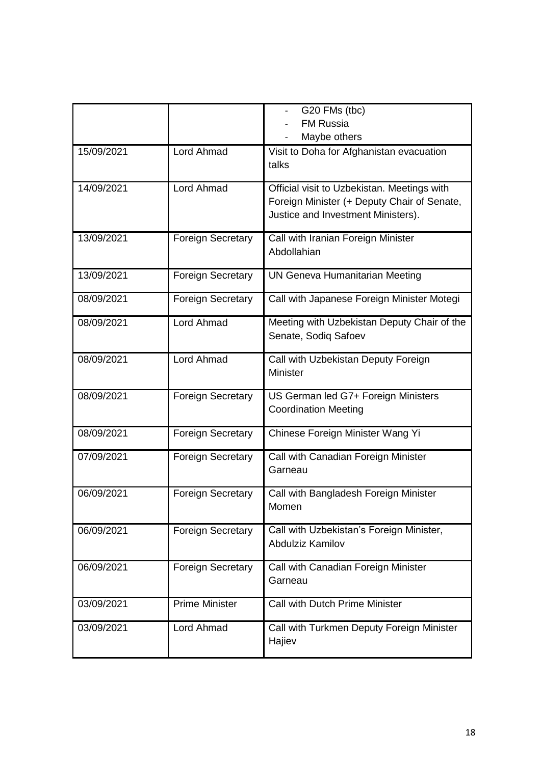|            |                          | G20 FMs (tbc)                                                                                                                    |
|------------|--------------------------|----------------------------------------------------------------------------------------------------------------------------------|
|            |                          | <b>FM Russia</b>                                                                                                                 |
|            |                          | Maybe others                                                                                                                     |
| 15/09/2021 | Lord Ahmad               | Visit to Doha for Afghanistan evacuation<br>talks                                                                                |
| 14/09/2021 | <b>Lord Ahmad</b>        | Official visit to Uzbekistan. Meetings with<br>Foreign Minister (+ Deputy Chair of Senate,<br>Justice and Investment Ministers). |
| 13/09/2021 | <b>Foreign Secretary</b> | Call with Iranian Foreign Minister<br>Abdollahian                                                                                |
| 13/09/2021 | <b>Foreign Secretary</b> | <b>UN Geneva Humanitarian Meeting</b>                                                                                            |
| 08/09/2021 | <b>Foreign Secretary</b> | Call with Japanese Foreign Minister Motegi                                                                                       |
| 08/09/2021 | Lord Ahmad               | Meeting with Uzbekistan Deputy Chair of the<br>Senate, Sodiq Safoev                                                              |
| 08/09/2021 | Lord Ahmad               | Call with Uzbekistan Deputy Foreign<br><b>Minister</b>                                                                           |
| 08/09/2021 | <b>Foreign Secretary</b> | US German led G7+ Foreign Ministers<br><b>Coordination Meeting</b>                                                               |
| 08/09/2021 | <b>Foreign Secretary</b> | Chinese Foreign Minister Wang Yi                                                                                                 |
| 07/09/2021 | <b>Foreign Secretary</b> | Call with Canadian Foreign Minister<br>Garneau                                                                                   |
| 06/09/2021 | <b>Foreign Secretary</b> | Call with Bangladesh Foreign Minister<br>Momen                                                                                   |
| 06/09/2021 | <b>Foreign Secretary</b> | Call with Uzbekistan's Foreign Minister,<br><b>Abdulziz Kamilov</b>                                                              |
| 06/09/2021 | <b>Foreign Secretary</b> | Call with Canadian Foreign Minister<br>Garneau                                                                                   |
| 03/09/2021 | <b>Prime Minister</b>    | Call with Dutch Prime Minister                                                                                                   |
| 03/09/2021 | Lord Ahmad               | Call with Turkmen Deputy Foreign Minister<br>Hajiev                                                                              |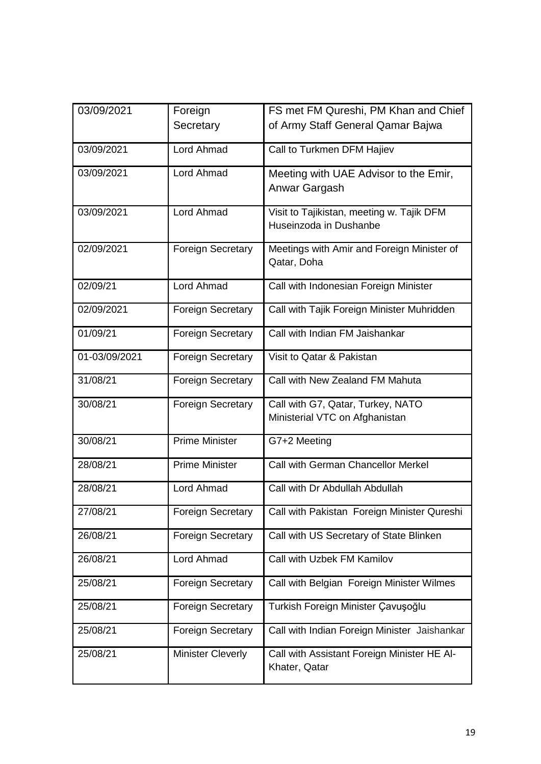| 03/09/2021    | Foreign                  | FS met FM Qureshi, PM Khan and Chief                                |
|---------------|--------------------------|---------------------------------------------------------------------|
|               | Secretary                | of Army Staff General Qamar Bajwa                                   |
| 03/09/2021    | <b>Lord Ahmad</b>        | Call to Turkmen DFM Hajiev                                          |
| 03/09/2021    | Lord Ahmad               | Meeting with UAE Advisor to the Emir,<br>Anwar Gargash              |
| 03/09/2021    | Lord Ahmad               | Visit to Tajikistan, meeting w. Tajik DFM<br>Huseinzoda in Dushanbe |
| 02/09/2021    | <b>Foreign Secretary</b> | Meetings with Amir and Foreign Minister of<br>Qatar, Doha           |
| 02/09/21      | Lord Ahmad               | Call with Indonesian Foreign Minister                               |
| 02/09/2021    | <b>Foreign Secretary</b> | Call with Tajik Foreign Minister Muhridden                          |
| 01/09/21      | <b>Foreign Secretary</b> | Call with Indian FM Jaishankar                                      |
| 01-03/09/2021 | <b>Foreign Secretary</b> | Visit to Qatar & Pakistan                                           |
| 31/08/21      | <b>Foreign Secretary</b> | Call with New Zealand FM Mahuta                                     |
| 30/08/21      | <b>Foreign Secretary</b> | Call with G7, Qatar, Turkey, NATO<br>Ministerial VTC on Afghanistan |
| 30/08/21      | <b>Prime Minister</b>    | G7+2 Meeting                                                        |
| 28/08/21      | <b>Prime Minister</b>    | Call with German Chancellor Merkel                                  |
| 28/08/21      | Lord Ahmad               | Call with Dr Abdullah Abdullah                                      |
| 27/08/21      | <b>Foreign Secretary</b> | Call with Pakistan Foreign Minister Qureshi                         |
| 26/08/21      | <b>Foreign Secretary</b> | Call with US Secretary of State Blinken                             |
| 26/08/21      | Lord Ahmad               | Call with Uzbek FM Kamilov                                          |
| 25/08/21      | <b>Foreign Secretary</b> | Call with Belgian Foreign Minister Wilmes                           |
| 25/08/21      | <b>Foreign Secretary</b> | Turkish Foreign Minister Çavuşoğlu                                  |
| 25/08/21      | <b>Foreign Secretary</b> | Call with Indian Foreign Minister Jaishankar                        |
| 25/08/21      | <b>Minister Cleverly</b> | Call with Assistant Foreign Minister HE Al-<br>Khater, Qatar        |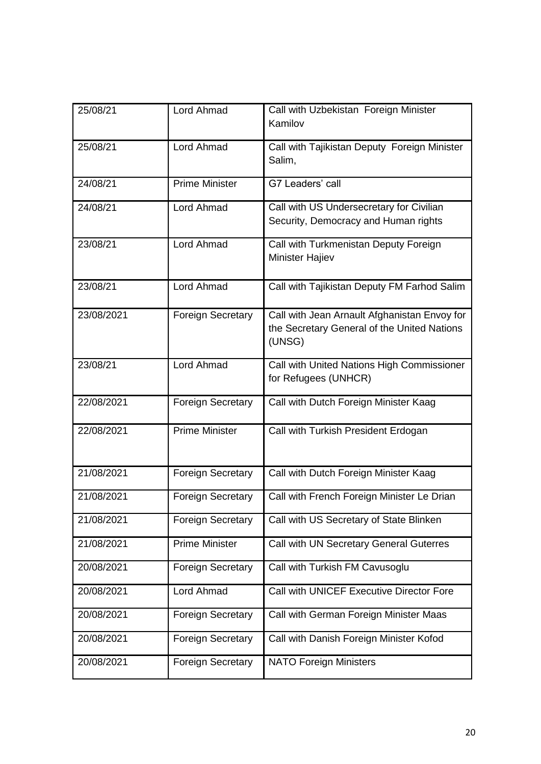| 25/08/21   | Lord Ahmad               | Call with Uzbekistan Foreign Minister<br>Kamilov                                                      |
|------------|--------------------------|-------------------------------------------------------------------------------------------------------|
|            |                          |                                                                                                       |
| 25/08/21   | Lord Ahmad               | Call with Tajikistan Deputy Foreign Minister<br>Salim,                                                |
| 24/08/21   | <b>Prime Minister</b>    | G7 Leaders' call                                                                                      |
| 24/08/21   | Lord Ahmad               | Call with US Undersecretary for Civilian<br>Security, Democracy and Human rights                      |
| 23/08/21   | <b>Lord Ahmad</b>        | Call with Turkmenistan Deputy Foreign<br>Minister Hajiev                                              |
| 23/08/21   | <b>Lord Ahmad</b>        | Call with Tajikistan Deputy FM Farhod Salim                                                           |
| 23/08/2021 | <b>Foreign Secretary</b> | Call with Jean Arnault Afghanistan Envoy for<br>the Secretary General of the United Nations<br>(UNSG) |
| 23/08/21   | Lord Ahmad               | Call with United Nations High Commissioner<br>for Refugees (UNHCR)                                    |
| 22/08/2021 | <b>Foreign Secretary</b> | Call with Dutch Foreign Minister Kaag                                                                 |
| 22/08/2021 | <b>Prime Minister</b>    | Call with Turkish President Erdogan                                                                   |
| 21/08/2021 | <b>Foreign Secretary</b> | Call with Dutch Foreign Minister Kaag                                                                 |
| 21/08/2021 | <b>Foreign Secretary</b> | Call with French Foreign Minister Le Drian                                                            |
| 21/08/2021 | <b>Foreign Secretary</b> | Call with US Secretary of State Blinken                                                               |
| 21/08/2021 | <b>Prime Minister</b>    | Call with UN Secretary General Guterres                                                               |
| 20/08/2021 | <b>Foreign Secretary</b> | Call with Turkish FM Cavusoglu                                                                        |
| 20/08/2021 | Lord Ahmad               | Call with UNICEF Executive Director Fore                                                              |
| 20/08/2021 | <b>Foreign Secretary</b> | Call with German Foreign Minister Maas                                                                |
| 20/08/2021 | <b>Foreign Secretary</b> | Call with Danish Foreign Minister Kofod                                                               |
| 20/08/2021 | <b>Foreign Secretary</b> | <b>NATO Foreign Ministers</b>                                                                         |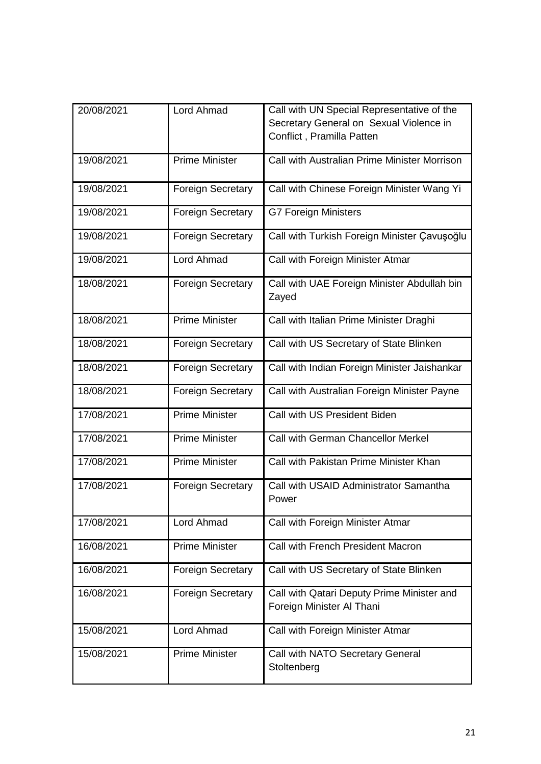| 20/08/2021 | Lord Ahmad               | Call with UN Special Representative of the<br>Secretary General on Sexual Violence in |
|------------|--------------------------|---------------------------------------------------------------------------------------|
|            |                          | Conflict, Pramilla Patten                                                             |
| 19/08/2021 | <b>Prime Minister</b>    | Call with Australian Prime Minister Morrison                                          |
| 19/08/2021 | <b>Foreign Secretary</b> | Call with Chinese Foreign Minister Wang Yi                                            |
| 19/08/2021 | <b>Foreign Secretary</b> | <b>G7 Foreign Ministers</b>                                                           |
| 19/08/2021 | <b>Foreign Secretary</b> | Call with Turkish Foreign Minister Çavuşoğlu                                          |
| 19/08/2021 | Lord Ahmad               | Call with Foreign Minister Atmar                                                      |
| 18/08/2021 | <b>Foreign Secretary</b> | Call with UAE Foreign Minister Abdullah bin<br>Zayed                                  |
| 18/08/2021 | <b>Prime Minister</b>    | Call with Italian Prime Minister Draghi                                               |
| 18/08/2021 | <b>Foreign Secretary</b> | Call with US Secretary of State Blinken                                               |
| 18/08/2021 | <b>Foreign Secretary</b> | Call with Indian Foreign Minister Jaishankar                                          |
| 18/08/2021 | <b>Foreign Secretary</b> | Call with Australian Foreign Minister Payne                                           |
| 17/08/2021 | <b>Prime Minister</b>    | Call with US President Biden                                                          |
| 17/08/2021 | <b>Prime Minister</b>    | Call with German Chancellor Merkel                                                    |
| 17/08/2021 | <b>Prime Minister</b>    | Call with Pakistan Prime Minister Khan                                                |
| 17/08/2021 | <b>Foreign Secretary</b> | Call with USAID Administrator Samantha<br>Power                                       |
| 17/08/2021 | <b>Lord Ahmad</b>        | Call with Foreign Minister Atmar                                                      |
| 16/08/2021 | <b>Prime Minister</b>    | Call with French President Macron                                                     |
| 16/08/2021 | <b>Foreign Secretary</b> | Call with US Secretary of State Blinken                                               |
| 16/08/2021 | <b>Foreign Secretary</b> | Call with Qatari Deputy Prime Minister and<br>Foreign Minister Al Thani               |
| 15/08/2021 | Lord Ahmad               | Call with Foreign Minister Atmar                                                      |
| 15/08/2021 | <b>Prime Minister</b>    | Call with NATO Secretary General<br>Stoltenberg                                       |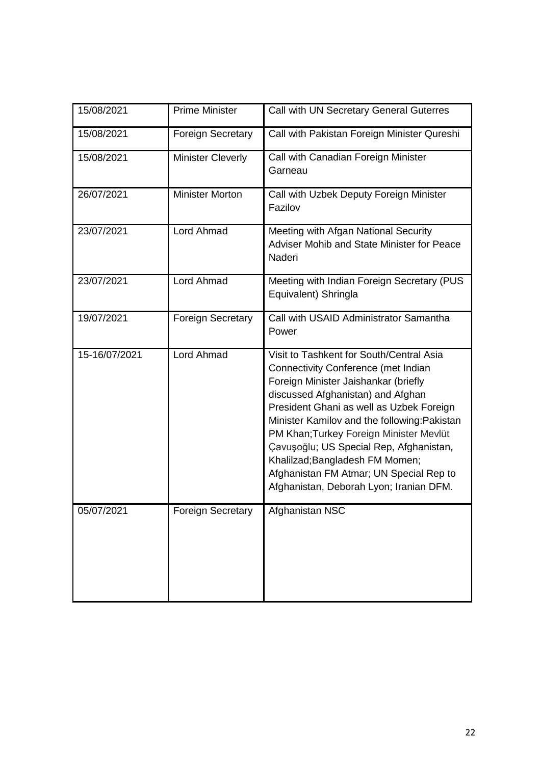| 15/08/2021    | <b>Prime Minister</b>    | Call with UN Secretary General Guterres                                                                                                                                                                                                                                                                                                                                                                                                                                 |
|---------------|--------------------------|-------------------------------------------------------------------------------------------------------------------------------------------------------------------------------------------------------------------------------------------------------------------------------------------------------------------------------------------------------------------------------------------------------------------------------------------------------------------------|
| 15/08/2021    | <b>Foreign Secretary</b> | Call with Pakistan Foreign Minister Qureshi                                                                                                                                                                                                                                                                                                                                                                                                                             |
| 15/08/2021    | <b>Minister Cleverly</b> | Call with Canadian Foreign Minister<br>Garneau                                                                                                                                                                                                                                                                                                                                                                                                                          |
| 26/07/2021    | <b>Minister Morton</b>   | Call with Uzbek Deputy Foreign Minister<br>Fazilov                                                                                                                                                                                                                                                                                                                                                                                                                      |
| 23/07/2021    | Lord Ahmad               | Meeting with Afgan National Security<br>Adviser Mohib and State Minister for Peace<br>Naderi                                                                                                                                                                                                                                                                                                                                                                            |
| 23/07/2021    | Lord Ahmad               | Meeting with Indian Foreign Secretary (PUS<br>Equivalent) Shringla                                                                                                                                                                                                                                                                                                                                                                                                      |
| 19/07/2021    | <b>Foreign Secretary</b> | Call with USAID Administrator Samantha<br>Power                                                                                                                                                                                                                                                                                                                                                                                                                         |
| 15-16/07/2021 | Lord Ahmad               | Visit to Tashkent for South/Central Asia<br>Connectivity Conference (met Indian<br>Foreign Minister Jaishankar (briefly<br>discussed Afghanistan) and Afghan<br>President Ghani as well as Uzbek Foreign<br>Minister Kamilov and the following: Pakistan<br>PM Khan; Turkey Foreign Minister Mevlüt<br>Çavuşoğlu; US Special Rep, Afghanistan,<br>Khalilzad; Bangladesh FM Momen;<br>Afghanistan FM Atmar; UN Special Rep to<br>Afghanistan, Deborah Lyon; Iranian DFM. |
| 05/07/2021    | Foreign Secretary        | Afghanistan NSC                                                                                                                                                                                                                                                                                                                                                                                                                                                         |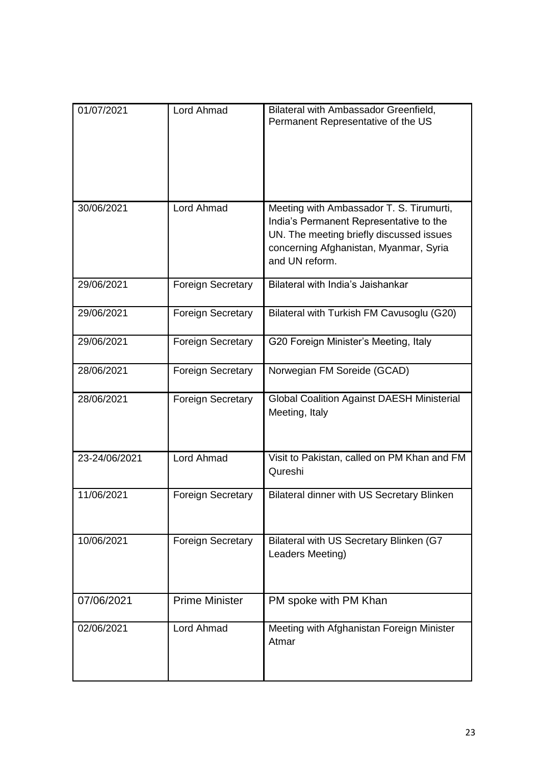| 01/07/2021    | <b>Lord Ahmad</b>        | Bilateral with Ambassador Greenfield,<br>Permanent Representative of the US                                                                                                                 |
|---------------|--------------------------|---------------------------------------------------------------------------------------------------------------------------------------------------------------------------------------------|
| 30/06/2021    | Lord Ahmad               | Meeting with Ambassador T. S. Tirumurti,<br>India's Permanent Representative to the<br>UN. The meeting briefly discussed issues<br>concerning Afghanistan, Myanmar, Syria<br>and UN reform. |
| 29/06/2021    | <b>Foreign Secretary</b> | Bilateral with India's Jaishankar                                                                                                                                                           |
| 29/06/2021    | <b>Foreign Secretary</b> | Bilateral with Turkish FM Cavusoglu (G20)                                                                                                                                                   |
| 29/06/2021    | <b>Foreign Secretary</b> | G20 Foreign Minister's Meeting, Italy                                                                                                                                                       |
| 28/06/2021    | <b>Foreign Secretary</b> | Norwegian FM Soreide (GCAD)                                                                                                                                                                 |
| 28/06/2021    | <b>Foreign Secretary</b> | <b>Global Coalition Against DAESH Ministerial</b><br>Meeting, Italy                                                                                                                         |
| 23-24/06/2021 | Lord Ahmad               | Visit to Pakistan, called on PM Khan and FM<br>Qureshi                                                                                                                                      |
| 11/06/2021    | <b>Foreign Secretary</b> | Bilateral dinner with US Secretary Blinken                                                                                                                                                  |
| 10/06/2021    | <b>Foreign Secretary</b> | Bilateral with US Secretary Blinken (G7<br>Leaders Meeting)                                                                                                                                 |
| 07/06/2021    | <b>Prime Minister</b>    | PM spoke with PM Khan                                                                                                                                                                       |
| 02/06/2021    | Lord Ahmad               | Meeting with Afghanistan Foreign Minister<br>Atmar                                                                                                                                          |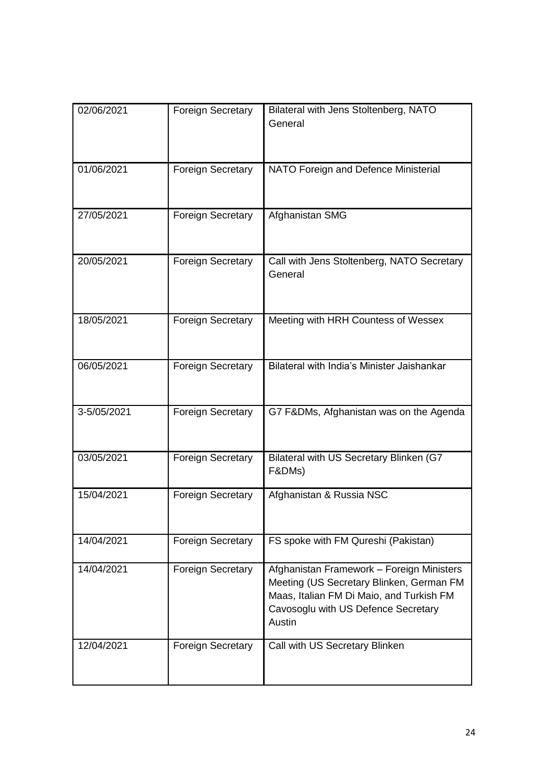| 02/06/2021  | <b>Foreign Secretary</b> | Bilateral with Jens Stoltenberg, NATO<br>General                                                                                                                                   |
|-------------|--------------------------|------------------------------------------------------------------------------------------------------------------------------------------------------------------------------------|
| 01/06/2021  | <b>Foreign Secretary</b> | NATO Foreign and Defence Ministerial                                                                                                                                               |
| 27/05/2021  | <b>Foreign Secretary</b> | Afghanistan SMG                                                                                                                                                                    |
| 20/05/2021  | <b>Foreign Secretary</b> | Call with Jens Stoltenberg, NATO Secretary<br>General                                                                                                                              |
| 18/05/2021  | <b>Foreign Secretary</b> | Meeting with HRH Countess of Wessex                                                                                                                                                |
| 06/05/2021  | <b>Foreign Secretary</b> | Bilateral with India's Minister Jaishankar                                                                                                                                         |
| 3-5/05/2021 | <b>Foreign Secretary</b> | G7 F&DMs, Afghanistan was on the Agenda                                                                                                                                            |
| 03/05/2021  | <b>Foreign Secretary</b> | Bilateral with US Secretary Blinken (G7<br>F&DMs)                                                                                                                                  |
| 15/04/2021  | <b>Foreign Secretary</b> | Afghanistan & Russia NSC                                                                                                                                                           |
| 14/04/2021  | <b>Foreign Secretary</b> | FS spoke with FM Qureshi (Pakistan)                                                                                                                                                |
| 14/04/2021  | <b>Foreign Secretary</b> | Afghanistan Framework - Foreign Ministers<br>Meeting (US Secretary Blinken, German FM<br>Maas, Italian FM Di Maio, and Turkish FM<br>Cavosoglu with US Defence Secretary<br>Austin |
| 12/04/2021  | <b>Foreign Secretary</b> | Call with US Secretary Blinken                                                                                                                                                     |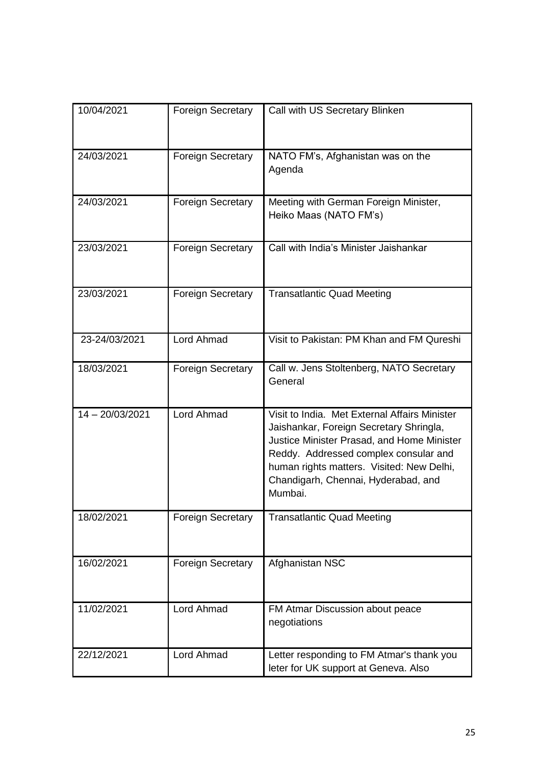| 10/04/2021        | <b>Foreign Secretary</b> | Call with US Secretary Blinken                                                                                                                                                                                                                                                 |
|-------------------|--------------------------|--------------------------------------------------------------------------------------------------------------------------------------------------------------------------------------------------------------------------------------------------------------------------------|
| 24/03/2021        | <b>Foreign Secretary</b> | NATO FM's, Afghanistan was on the<br>Agenda                                                                                                                                                                                                                                    |
| 24/03/2021        | <b>Foreign Secretary</b> | Meeting with German Foreign Minister,<br>Heiko Maas (NATO FM's)                                                                                                                                                                                                                |
| 23/03/2021        | <b>Foreign Secretary</b> | Call with India's Minister Jaishankar                                                                                                                                                                                                                                          |
| 23/03/2021        | <b>Foreign Secretary</b> | <b>Transatlantic Quad Meeting</b>                                                                                                                                                                                                                                              |
| 23-24/03/2021     | Lord Ahmad               | Visit to Pakistan: PM Khan and FM Qureshi                                                                                                                                                                                                                                      |
| 18/03/2021        | <b>Foreign Secretary</b> | Call w. Jens Stoltenberg, NATO Secretary<br>General                                                                                                                                                                                                                            |
| $14 - 20/03/2021$ | <b>Lord Ahmad</b>        | Visit to India. Met External Affairs Minister<br>Jaishankar, Foreign Secretary Shringla,<br>Justice Minister Prasad, and Home Minister<br>Reddy. Addressed complex consular and<br>human rights matters. Visited: New Delhi,<br>Chandigarh, Chennai, Hyderabad, and<br>Mumbai. |
| 18/02/2021        | <b>Foreign Secretary</b> | <b>Transatlantic Quad Meeting</b>                                                                                                                                                                                                                                              |
| 16/02/2021        | <b>Foreign Secretary</b> | Afghanistan NSC                                                                                                                                                                                                                                                                |
| 11/02/2021        | Lord Ahmad               | FM Atmar Discussion about peace<br>negotiations                                                                                                                                                                                                                                |
| 22/12/2021        | Lord Ahmad               | Letter responding to FM Atmar's thank you<br>leter for UK support at Geneva. Also                                                                                                                                                                                              |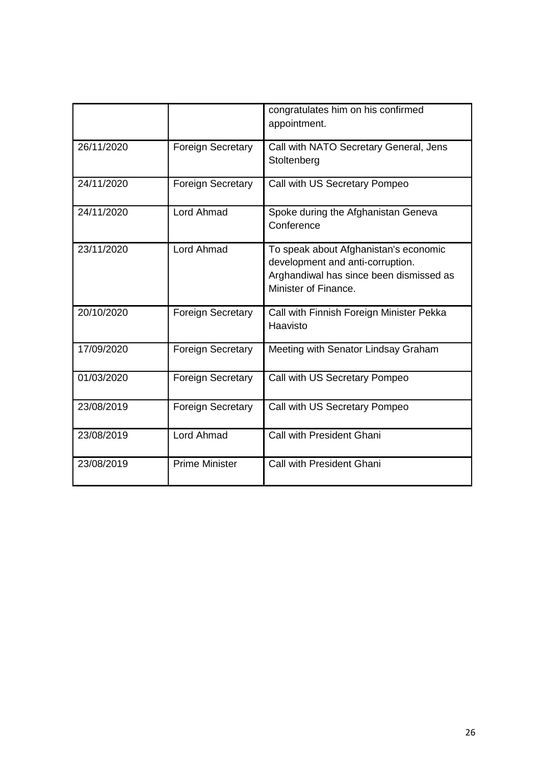|            |                          | congratulates him on his confirmed<br>appointment.                                                                                           |
|------------|--------------------------|----------------------------------------------------------------------------------------------------------------------------------------------|
| 26/11/2020 | <b>Foreign Secretary</b> | Call with NATO Secretary General, Jens<br>Stoltenberg                                                                                        |
| 24/11/2020 | <b>Foreign Secretary</b> | Call with US Secretary Pompeo                                                                                                                |
| 24/11/2020 | <b>Lord Ahmad</b>        | Spoke during the Afghanistan Geneva<br>Conference                                                                                            |
| 23/11/2020 | Lord Ahmad               | To speak about Afghanistan's economic<br>development and anti-corruption.<br>Arghandiwal has since been dismissed as<br>Minister of Finance. |
| 20/10/2020 | <b>Foreign Secretary</b> | Call with Finnish Foreign Minister Pekka<br>Haavisto                                                                                         |
| 17/09/2020 | <b>Foreign Secretary</b> | Meeting with Senator Lindsay Graham                                                                                                          |
| 01/03/2020 | <b>Foreign Secretary</b> | Call with US Secretary Pompeo                                                                                                                |
| 23/08/2019 | <b>Foreign Secretary</b> | Call with US Secretary Pompeo                                                                                                                |
| 23/08/2019 | <b>Lord Ahmad</b>        | Call with President Ghani                                                                                                                    |
| 23/08/2019 | <b>Prime Minister</b>    | <b>Call with President Ghani</b>                                                                                                             |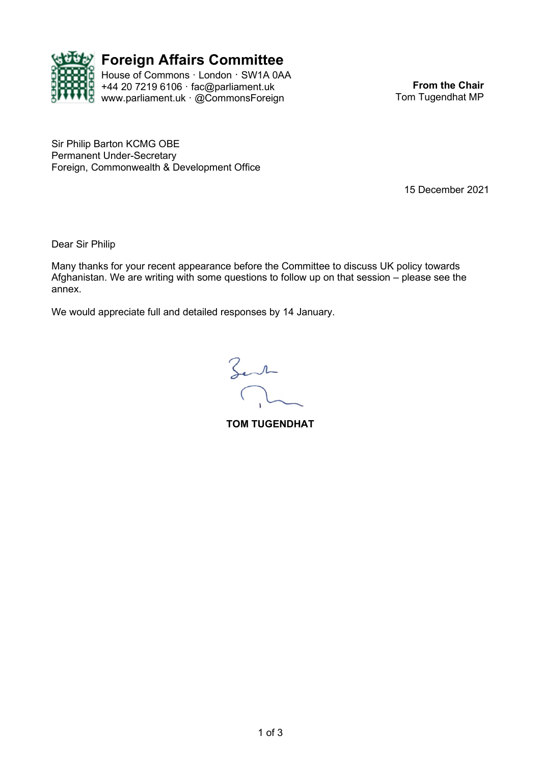

**Foreign Affairs Committee** House of Commons · London · SW1A 0AA

+44 20 7219 6106 · fac@parliament.uk www.parliament.uk · @CommonsForeign

**From the Chair** Tom Tugendhat MP

Sir Philip Barton KCMG OBE Permanent Under-Secretary Foreign, Commonwealth & Development Office

15 December 2021

Dear Sir Philip

Many thanks for your recent appearance before the Committee to discuss UK policy towards Afghanistan. We are writing with some questions to follow up on that session – please see the annex.

We would appreciate full and detailed responses by 14 January.

Zen

**TOM TUGENDHAT**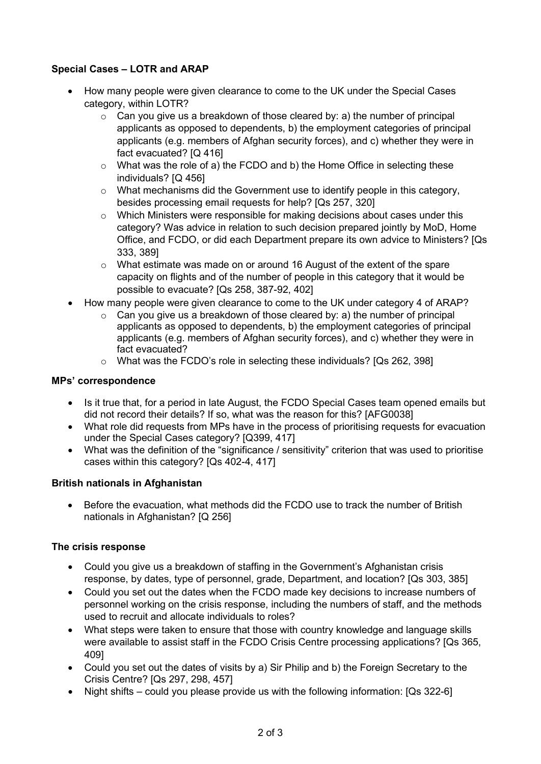# **Special Cases – LOTR and ARAP**

- How many people were given clearance to come to the UK under the Special Cases category, within LOTR?
	- $\circ$  Can you give us a breakdown of those cleared by: a) the number of principal applicants as opposed to dependents, b) the employment categories of principal applicants (e.g. members of Afghan security forces), and c) whether they were in fact evacuated? [Q 416]
	- $\circ$  What was the role of a) the FCDO and b) the Home Office in selecting these individuals? [Q 456]
	- $\circ$  What mechanisms did the Government use to identify people in this category, besides processing email requests for help? [Qs 257, 320]
	- $\circ$  Which Ministers were responsible for making decisions about cases under this category? Was advice in relation to such decision prepared jointly by MoD, Home Office, and FCDO, or did each Department prepare its own advice to Ministers? [Qs 333, 389]
	- $\circ$  What estimate was made on or around 16 August of the extent of the spare capacity on flights and of the number of people in this category that it would be possible to evacuate? [Qs 258, 387-92, 402]
- How many people were given clearance to come to the UK under category 4 of ARAP?
	- $\circ$  Can you give us a breakdown of those cleared by: a) the number of principal applicants as opposed to dependents, b) the employment categories of principal applicants (e.g. members of Afghan security forces), and c) whether they were in fact evacuated?
	- o What was the FCDO's role in selecting these individuals? [Qs 262, 398]

## **MPs' correspondence**

- Is it true that, for a period in late August, the FCDO Special Cases team opened emails but did not record their details? If so, what was the reason for this? [AFG0038]
- What role did requests from MPs have in the process of prioritising requests for evacuation under the Special Cases category? [Q399, 417]
- What was the definition of the "significance / sensitivity" criterion that was used to prioritise cases within this category? [Qs 402-4, 417]

# **British nationals in Afghanistan**

• Before the evacuation, what methods did the FCDO use to track the number of British nationals in Afghanistan? [Q 256]

# **The crisis response**

- Could you give us a breakdown of staffing in the Government's Afghanistan crisis response, by dates, type of personnel, grade, Department, and location? [Qs 303, 385]
- Could you set out the dates when the FCDO made key decisions to increase numbers of personnel working on the crisis response, including the numbers of staff, and the methods used to recruit and allocate individuals to roles?
- What steps were taken to ensure that those with country knowledge and language skills were available to assist staff in the FCDO Crisis Centre processing applications? [Qs 365, 409]
- Could you set out the dates of visits by a) Sir Philip and b) the Foreign Secretary to the Crisis Centre? [Qs 297, 298, 457]
- Night shifts could you please provide us with the following information: [Qs 322-6]